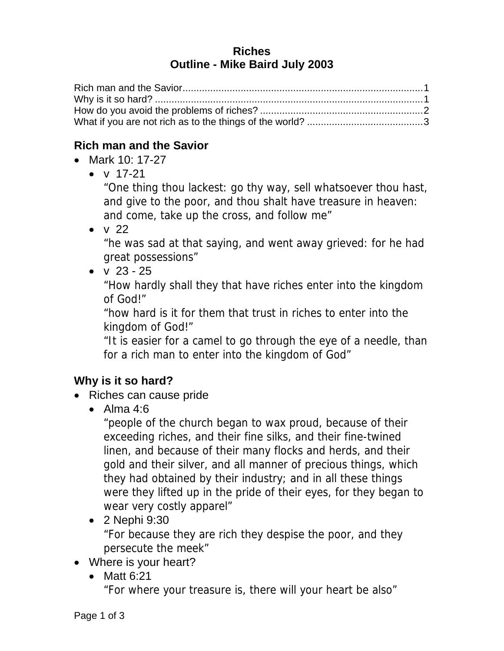#### **Riches Outline - Mike Baird July 2003**

### **Rich man and the Savior**

- Mark 10: 17-27
	- $\bullet$  v 17-21

"One thing thou lackest: go thy way, sell whatsoever thou hast, and give to the poor, and thou shalt have treasure in heaven: and come, take up the cross, and follow me"

 $\bullet$  v 22

"he was sad at that saying, and went away grieved: for he had great possessions"

 $\bullet$  v 23 - 25

"How hardly shall they that have riches enter into the kingdom of God!"

"how hard is it for them that trust in riches to enter into the kingdom of God!"

"It is easier for a camel to go through the eye of a needle, than for a rich man to enter into the kingdom of God"

# **Why is it so hard?**

- Riches can cause pride
	- Alma  $4:6$

"people of the church began to wax proud, because of their exceeding riches, and their fine silks, and their fine-twined linen, and because of their many flocks and herds, and their gold and their silver, and all manner of precious things, which they had obtained by their industry; and in all these things were they lifted up in the pride of their eyes, for they began to wear very costly apparel"

- 2 Nephi 9:30 "For because they are rich they despise the poor, and they persecute the meek"
- Where is your heart?
	- $\bullet$  Matt 6:21

"For where your treasure is, there will your heart be also"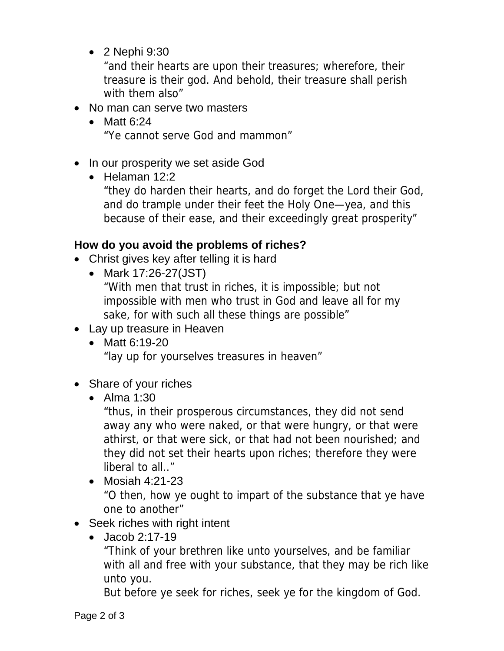2 Nephi 9:30

"and their hearts are upon their treasures; wherefore, their treasure is their god. And behold, their treasure shall perish with them also"

- No man can serve two masters
	- $\bullet$  Matt 6:24 "Ye cannot serve God and mammon"
- In our prosperity we set aside God
	- $\bullet$  Helaman 12:2

"they do harden their hearts, and do forget the Lord their God, and do trample under their feet the Holy One—yea, and this because of their ease, and their exceedingly great prosperity"

# **How do you avoid the problems of riches?**

- Christ gives key after telling it is hard
	- Mark 17:26-27(JST)

"With men that trust in riches, it is impossible; but not impossible with men who trust in God and leave all for my sake, for with such all these things are possible"

- Lay up treasure in Heaven
	- Matt 6:19-20 "lay up for yourselves treasures in heaven"
- Share of your riches
	- Alma 1:30

"thus, in their prosperous circumstances, they did not send away any who were naked, or that were hungry, or that were athirst, or that were sick, or that had not been nourished; and they did not set their hearts upon riches; therefore they were liberal to all..."

• Mosiah 4:21-23

"O then, how ye ought to impart of the substance that ye have one to another"

- Seek riches with right intent
	- Jacob 2:17-19

"Think of your brethren like unto yourselves, and be familiar with all and free with your substance, that they may be rich like unto you.

But before ye seek for riches, seek ye for the kingdom of God.